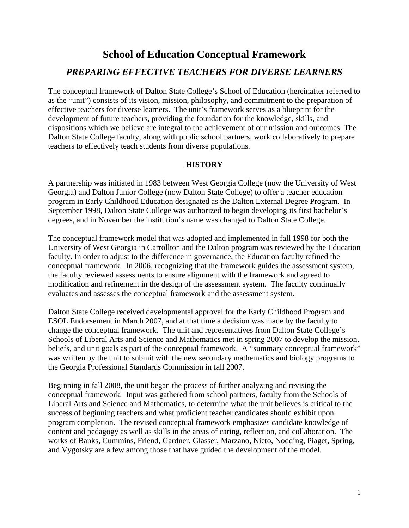# **School of Education Conceptual Framework**  *PREPARING EFFECTIVE TEACHERS FOR DIVERSE LEARNERS*

The conceptual framework of Dalton State College's School of Education (hereinafter referred to as the "unit") consists of its vision, mission, philosophy, and commitment to the preparation of effective teachers for diverse learners. The unit's framework serves as a blueprint for the development of future teachers, providing the foundation for the knowledge, skills, and dispositions which we believe are integral to the achievement of our mission and outcomes. The Dalton State College faculty, along with public school partners, work collaboratively to prepare teachers to effectively teach students from diverse populations.

#### **HISTORY**

A partnership was initiated in 1983 between West Georgia College (now the University of West Georgia) and Dalton Junior College (now Dalton State College) to offer a teacher education program in Early Childhood Education designated as the Dalton External Degree Program. In September 1998, Dalton State College was authorized to begin developing its first bachelor's degrees, and in November the institution's name was changed to Dalton State College.

The conceptual framework model that was adopted and implemented in fall 1998 for both the University of West Georgia in Carrollton and the Dalton program was reviewed by the Education faculty. In order to adjust to the difference in governance, the Education faculty refined the conceptual framework. In 2006, recognizing that the framework guides the assessment system, the faculty reviewed assessments to ensure alignment with the framework and agreed to modification and refinement in the design of the assessment system. The faculty continually evaluates and assesses the conceptual framework and the assessment system.

Dalton State College received developmental approval for the Early Childhood Program and ESOL Endorsement in March 2007, and at that time a decision was made by the faculty to change the conceptual framework. The unit and representatives from Dalton State College's Schools of Liberal Arts and Science and Mathematics met in spring 2007 to develop the mission, beliefs, and unit goals as part of the conceptual framework. A "summary conceptual framework" was written by the unit to submit with the new secondary mathematics and biology programs to the Georgia Professional Standards Commission in fall 2007.

Beginning in fall 2008, the unit began the process of further analyzing and revising the conceptual framework. Input was gathered from school partners, faculty from the Schools of Liberal Arts and Science and Mathematics, to determine what the unit believes is critical to the success of beginning teachers and what proficient teacher candidates should exhibit upon program completion. The revised conceptual framework emphasizes candidate knowledge of content and pedagogy as well as skills in the areas of caring, reflection, and collaboration. The works of Banks, Cummins, Friend, Gardner, Glasser, Marzano, Nieto, Nodding, Piaget, Spring, and Vygotsky are a few among those that have guided the development of the model.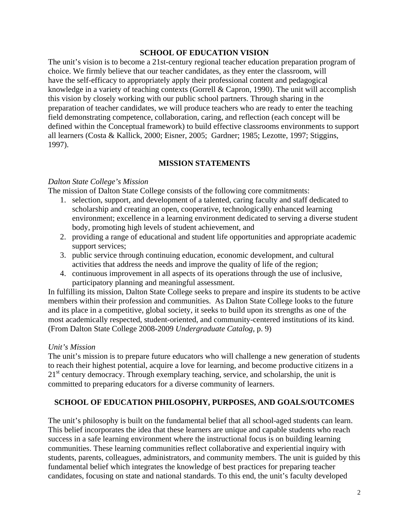#### **SCHOOL OF EDUCATION VISION**

The unit's vision is to become a 21st-century regional teacher education preparation program of choice. We firmly believe that our teacher candidates, as they enter the classroom, will have the self-efficacy to appropriately apply their professional content and pedagogical knowledge in a variety of teaching contexts (Gorrell & Capron, 1990). The unit will accomplish this vision by closely working with our public school partners. Through sharing in the preparation of teacher candidates, we will produce teachers who are ready to enter the teaching field demonstrating competence, collaboration, caring, and reflection (each concept will be defined within the Conceptual framework) to build effective classrooms environments to support all learners (Costa & Kallick, 2000; Eisner, 2005; Gardner; 1985; Lezotte, 1997; Stiggins, 1997).

#### **MISSION STATEMENTS**

#### *Dalton State College's Mission*

The mission of Dalton State College consists of the following core commitments:

- 1. selection, support, and development of a talented, caring faculty and staff dedicated to scholarship and creating an open, cooperative, technologically enhanced learning environment; excellence in a learning environment dedicated to serving a diverse student body, promoting high levels of student achievement, and
- 2. providing a range of educational and student life opportunities and appropriate academic support services;
- 3. public service through continuing education, economic development, and cultural activities that address the needs and improve the quality of life of the region;
- 4. continuous improvement in all aspects of its operations through the use of inclusive, participatory planning and meaningful assessment.

In fulfilling its mission, Dalton State College seeks to prepare and inspire its students to be active members within their profession and communities. As Dalton State College looks to the future and its place in a competitive, global society, it seeks to build upon its strengths as one of the most academically respected, student-oriented, and community-centered institutions of its kind. (From Dalton State College 2008-2009 *Undergraduate Catalog*, p. 9)

#### *Unit's Mission*

The unit's mission is to prepare future educators who will challenge a new generation of students to reach their highest potential, acquire a love for learning, and become productive citizens in a  $21<sup>st</sup>$  century democracy. Through exemplary teaching, service, and scholarship, the unit is committed to preparing educators for a diverse community of learners.

#### **SCHOOL OF EDUCATION PHILOSOPHY, PURPOSES, AND GOALS/OUTCOMES**

The unit's philosophy is built on the fundamental belief that all school-aged students can learn. This belief incorporates the idea that these learners are unique and capable students who reach success in a safe learning environment where the instructional focus is on building learning communities. These learning communities reflect collaborative and experiential inquiry with students, parents, colleagues, administrators, and community members. The unit is guided by this fundamental belief which integrates the knowledge of best practices for preparing teacher candidates, focusing on state and national standards. To this end, the unit's faculty developed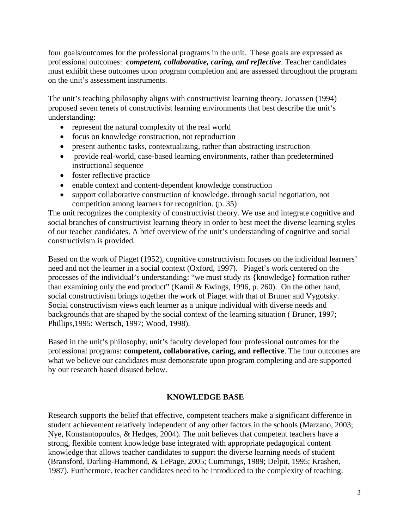four goals/outcomes for the professional programs in the unit. These goals are expressed as professional outcomes: *competent, collaborative, caring, and reflective*. Teacher candidates must exhibit these outcomes upon program completion and are assessed throughout the program on the unit's assessment instruments.

The unit's teaching philosophy aligns with constructivist learning theory. Jonassen (1994) proposed seven tenets of constructivist learning environments that best describe the unit's understanding:

- represent the natural complexity of the real world
- focus on knowledge construction, not reproduction
- present authentic tasks, contextualizing, rather than abstracting instruction
- provide real-world, case-based learning environments, rather than predetermined instructional sequence
- foster reflective practice
- enable context and content-dependent knowledge construction
- support collaborative construction of knowledge. through social negotiation, not competition among learners for recognition. (p. 35)

The unit recognizes the complexity of constructivist theory. We use and integrate cognitive and social branches of constructivist learning theory in order to best meet the diverse learning styles of our teacher candidates. A brief overview of the unit's understanding of cognitive and social constructivism is provided.

Based on the work of Piaget (1952), cognitive constructivism focuses on the individual learners' need and not the learner in a social context (Oxford, 1997). Piaget's work centered on the processes of the individual's understanding: "we must study its {knowledge} formation rather than examining only the end product" (Kamii & Ewings, 1996, p. 260). On the other hand, social constructivism brings together the work of Piaget with that of Bruner and Vygotsky. Social constructivism views each learner as a unique individual with diverse needs and backgrounds that are shaped by the social context of the learning situation ( Bruner, 1997; Phillips,1995: Wertsch, 1997; Wood, 1998).

Based in the unit's philosophy, unit's faculty developed four professional outcomes for the professional programs: **competent, collaborative, caring, and reflective**. The four outcomes are what we believe our candidates must demonstrate upon program completing and are supported by our research based disused below.

#### **KNOWLEDGE BASE**

Research supports the belief that effective, competent teachers make a significant difference in student achievement relatively independent of any other factors in the schools (Marzano, 2003; Nye, Konstantopoulos, & Hedges, 2004). The unit believes that competent teachers have a strong, flexible content knowledge base integrated with appropriate pedagogical content knowledge that allows teacher candidates to support the diverse learning needs of student (Bransford, Darling-Hammond, & LePage, 2005; Cummings, 1989; Delpit, 1995; Krashen, 1987). Furthermore, teacher candidates need to be introduced to the complexity of teaching.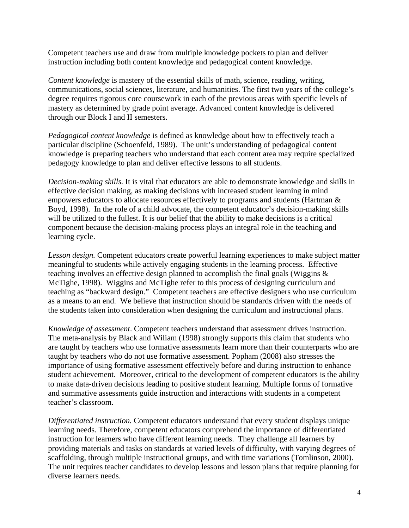Competent teachers use and draw from multiple knowledge pockets to plan and deliver instruction including both content knowledge and pedagogical content knowledge.

*Content knowledge* is mastery of the essential skills of math, science, reading, writing, communications, social sciences, literature, and humanities. The first two years of the college's degree requires rigorous core coursework in each of the previous areas with specific levels of mastery as determined by grade point average. Advanced content knowledge is delivered through our Block I and II semesters.

*Pedagogical content knowledge* is defined as knowledge about how to effectively teach a particular discipline (Schoenfeld, 1989). The unit's understanding of pedagogical content knowledge is preparing teachers who understand that each content area may require specialized pedagogy knowledge to plan and deliver effective lessons to all students.

*Decision-making skills.* It is vital that educators are able to demonstrate knowledge and skills in effective decision making, as making decisions with increased student learning in mind empowers educators to allocate resources effectively to programs and students (Hartman & Boyd, 1998). In the role of a child advocate, the competent educator's decision-making skills will be utilized to the fullest. It is our belief that the ability to make decisions is a critical component because the decision-making process plays an integral role in the teaching and learning cycle.

*Lesson design.* Competent educators create powerful learning experiences to make subject matter meaningful to students while actively engaging students in the learning process. Effective teaching involves an effective design planned to accomplish the final goals (Wiggins & McTighe, 1998). Wiggins and McTighe refer to this process of designing curriculum and teaching as "backward design." Competent teachers are effective designers who use curriculum as a means to an end. We believe that instruction should be standards driven with the needs of the students taken into consideration when designing the curriculum and instructional plans.

*Knowledge of assessment*. Competent teachers understand that assessment drives instruction. The meta-analysis by Black and Wiliam (1998) strongly supports this claim that students who are taught by teachers who use formative assessments learn more than their counterparts who are taught by teachers who do not use formative assessment. Popham (2008) also stresses the importance of using formative assessment effectively before and during instruction to enhance student achievement. Moreover, critical to the development of competent educators is the ability to make data-driven decisions leading to positive student learning. Multiple forms of formative and summative assessments guide instruction and interactions with students in a competent teacher's classroom.

*Differentiated instruction.* Competent educators understand that every student displays unique learning needs. Therefore, competent educators comprehend the importance of differentiated instruction for learners who have different learning needs. They challenge all learners by providing materials and tasks on standards at varied levels of difficulty, with varying degrees of scaffolding, through multiple instructional groups, and with time variations (Tomlinson, 2000). The unit requires teacher candidates to develop lessons and lesson plans that require planning for diverse learners needs.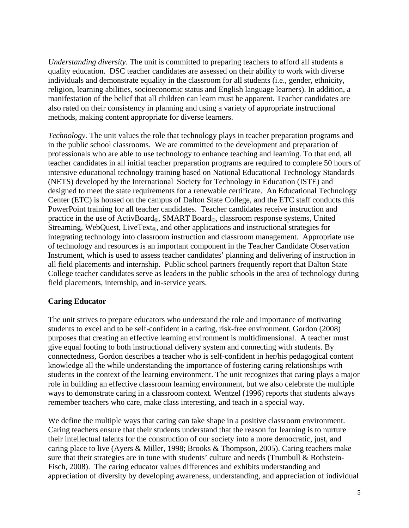*Understanding diversity.* The unit is committed to preparing teachers to afford all students a quality education. DSC teacher candidates are assessed on their ability to work with diverse individuals and demonstrate equality in the classroom for all students (i.e., gender, ethnicity, religion, learning abilities, socioeconomic status and English language learners). In addition, a manifestation of the belief that all children can learn must be apparent. Teacher candidates are also rated on their consistency in planning and using a variety of appropriate instructional methods, making content appropriate for diverse learners.

*Technology.* The unit values the role that technology plays in teacher preparation programs and in the public school classrooms. We are committed to the development and preparation of professionals who are able to use technology to enhance teaching and learning. To that end, all teacher candidates in all initial teacher preparation programs are required to complete 50 hours of intensive educational technology training based on National Educational Technology Standards (NETS) developed by the International Society for Technology in Education (ISTE) and designed to meet the state requirements for a renewable certificate. An Educational Technology Center (ETC) is housed on the campus of Dalton State College, and the ETC staff conducts this PowerPoint training for all teacher candidates. Teacher candidates receive instruction and practice in the use of ActivBoard®, SMART Board®, classroom response systems, United Streaming, WebQuest, LiveText<sub>®</sub>, and other applications and instructional strategies for integrating technology into classroom instruction and classroom management. Appropriate use of technology and resources is an important component in the Teacher Candidate Observation Instrument, which is used to assess teacher candidates' planning and delivering of instruction in all field placements and internship. Public school partners frequently report that Dalton State College teacher candidates serve as leaders in the public schools in the area of technology during field placements, internship, and in-service years.

#### **Caring Educator**

The unit strives to prepare educators who understand the role and importance of motivating students to excel and to be self-confident in a caring, risk-free environment. Gordon (2008) purposes that creating an effective learning environment is multidimensional. A teacher must give equal footing to both instructional delivery system and connecting with students. By connectedness, Gordon describes a teacher who is self-confident in her/his pedagogical content knowledge all the while understanding the importance of fostering caring relationships with students in the context of the learning environment. The unit recognizes that caring plays a major role in building an effective classroom learning environment, but we also celebrate the multiple ways to demonstrate caring in a classroom context. Wentzel (1996) reports that students always remember teachers who care, make class interesting, and teach in a special way.

We define the multiple ways that caring can take shape in a positive classroom environment. Caring teachers ensure that their students understand that the reason for learning is to nurture their intellectual talents for the construction of our society into a more democratic, just, and caring place to live (Ayers & Miller, 1998; Brooks & Thompson, 2005). Caring teachers make sure that their strategies are in tune with students' culture and needs (Trumbull & Rothstein-Fisch, 2008). The caring educator values differences and exhibits understanding and appreciation of diversity by developing awareness, understanding, and appreciation of individual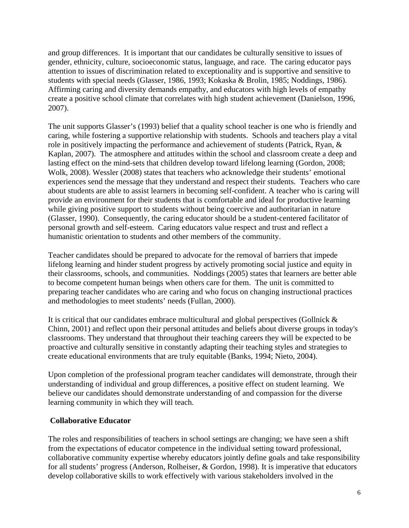and group differences. It is important that our candidates be culturally sensitive to issues of gender, ethnicity, culture, socioeconomic status, language, and race. The caring educator pays attention to issues of discrimination related to exceptionality and is supportive and sensitive to students with special needs (Glasser, 1986, 1993; Kokaska & Brolin, 1985; Noddings, 1986). Affirming caring and diversity demands empathy, and educators with high levels of empathy create a positive school climate that correlates with high student achievement (Danielson, 1996, 2007).

The unit supports Glasser's (1993) belief that a quality school teacher is one who is friendly and caring, while fostering a supportive relationship with students. Schools and teachers play a vital role in positively impacting the performance and achievement of students (Patrick, Ryan, & Kaplan, 2007). The atmosphere and attitudes within the school and classroom create a deep and lasting effect on the mind-sets that children develop toward lifelong learning (Gordon, 2008; Wolk, 2008). Wessler (2008) states that teachers who acknowledge their students' emotional experiences send the message that they understand and respect their students. Teachers who care about students are able to assist learners in becoming self-confident. A teacher who is caring will provide an environment for their students that is comfortable and ideal for productive learning while giving positive support to students without being coercive and authoritarian in nature (Glasser, 1990). Consequently, the caring educator should be a student-centered facilitator of personal growth and self-esteem. Caring educators value respect and trust and reflect a humanistic orientation to students and other members of the community.

Teacher candidates should be prepared to advocate for the removal of barriers that impede lifelong learning and hinder student progress by actively promoting social justice and equity in their classrooms, schools, and communities. Noddings (2005) states that learners are better able to become competent human beings when others care for them. The unit is committed to preparing teacher candidates who are caring and who focus on changing instructional practices and methodologies to meet students' needs (Fullan, 2000).

It is critical that our candidates embrace multicultural and global perspectives (Gollnick & Chinn, 2001) and reflect upon their personal attitudes and beliefs about diverse groups in today's classrooms. They understand that throughout their teaching careers they will be expected to be proactive and culturally sensitive in constantly adapting their teaching styles and strategies to create educational environments that are truly equitable (Banks, 1994; Nieto, 2004).

Upon completion of the professional program teacher candidates will demonstrate*,* through their understanding of individual and group differences, a positive effect on student learning. We believe our candidates should demonstrate understanding of and compassion for the diverse learning community in which they will teach.

#### **Collaborative Educator**

The roles and responsibilities of teachers in school settings are changing; we have seen a shift from the expectations of educator competence in the individual setting toward professional, collaborative community expertise whereby educators jointly define goals and take responsibility for all students' progress (Anderson, Rolheiser, & Gordon, 1998)*.* It is imperative that educators develop collaborative skills to work effectively with various stakeholders involved in the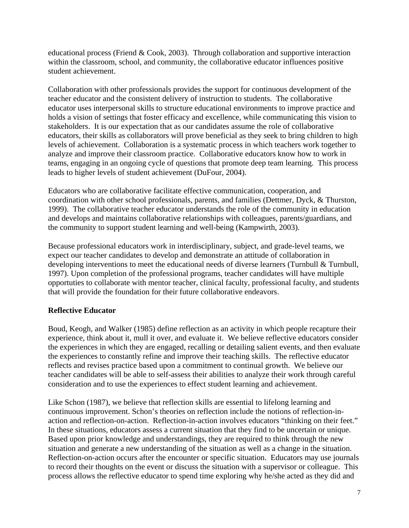educational process (Friend & Cook, 2003). Through collaboration and supportive interaction within the classroom, school, and community, the collaborative educator influences positive student achievement.

Collaboration with other professionals provides the support for continuous development of the teacher educator and the consistent delivery of instruction to students. The collaborative educator uses interpersonal skills to structure educational environments to improve practice and holds a vision of settings that foster efficacy and excellence, while communicating this vision to stakeholders. It is our expectation that as our candidates assume the role of collaborative educators, their skills as collaborators will prove beneficial as they seek to bring children to high levels of achievement. Collaboration is a systematic process in which teachers work together to analyze and improve their classroom practice. Collaborative educators know how to work in teams, engaging in an ongoing cycle of questions that promote deep team learning. This process leads to higher levels of student achievement (DuFour, 2004).

Educators who are collaborative facilitate effective communication, cooperation, and coordination with other school professionals, parents, and families (Dettmer, Dyck, & Thurston, 1999). The collaborative teacher educator understands the role of the community in education and develops and maintains collaborative relationships with colleagues, parents/guardians, and the community to support student learning and well-being (Kampwirth, 2003).

Because professional educators work in interdisciplinary, subject, and grade-level teams, we expect our teacher candidates to develop and demonstrate an attitude of collaboration in developing interventions to meet the educational needs of diverse learners (Turnbull & Turnbull, 1997). Upon completion of the professional programs, teacher candidates will have multiple opportuties to collaborate with mentor teacher, clinical faculty, professional faculty, and students that will provide the foundation for their future collaborative endeavors.

#### **Reflective Educator**

Boud, Keogh, and Walker (1985) define reflection as an activity in which people recapture their experience, think about it, mull it over, and evaluate it. We believe reflective educators consider the experiences in which they are engaged, recalling or detailing salient events, and then evaluate the experiences to constantly refine and improve their teaching skills. The reflective educator reflects and revises practice based upon a commitment to continual growth. We believe our teacher candidates will be able to self-assess their abilities to analyze their work through careful consideration and to use the experiences to effect student learning and achievement.

Like Schon (1987), we believe that reflection skills are essential to lifelong learning and continuous improvement. Schon's theories on reflection include the notions of reflection-inaction and reflection-on-action. Reflection-in-action involves educators "thinking on their feet." In these situations, educators assess a current situation that they find to be uncertain or unique. Based upon prior knowledge and understandings, they are required to think through the new situation and generate a new understanding of the situation as well as a change in the situation. Reflection-on-action occurs after the encounter or specific situation. Educators may use journals to record their thoughts on the event or discuss the situation with a supervisor or colleague. This process allows the reflective educator to spend time exploring why he/she acted as they did and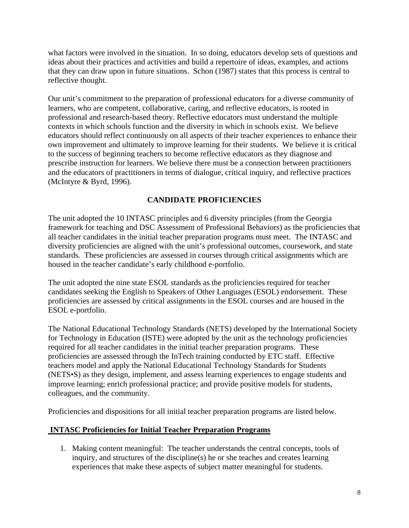what factors were involved in the situation. In so doing, educators develop sets of questions and ideas about their practices and activities and build a repertoire of ideas, examples, and actions that they can draw upon in future situations. Schon (1987) states that this process is central to reflective thought.

Our unit's commitment to the preparation of professional educators for a diverse community of learners, who are competent, collaborative, caring, and reflective educators, is rooted in professional and research-based theory. Reflective educators must understand the multiple contexts in which schools function and the diversity in which in schools exist. We believe educators should reflect continuously on all aspects of their teacher experiences to enhance their own improvement and ultimately to improve learning for their students. We believe it is critical to the success of beginning teachers to become reflective educators as they diagnose and prescribe instruction for learners. We believe there must be a connection between practitioners and the educators of practitioners in terms of dialogue, critical inquiry, and reflective practices (McIntyre & Byrd, 1996).

#### **CANDIDATE PROFICIENCIES**

The unit adopted the 10 INTASC principles and 6 diversity principles (from the Georgia framework for teaching and DSC Assessment of Professional Behaviors) as the proficiencies that all teacher candidates in the initial teacher preparation programs must meet. The INTASC and diversity proficiencies are aligned with the unit's professional outcomes, coursework, and state standards. These proficiencies are assessed in courses through critical assignments which are housed in the teacher candidate's early childhood e-portfolio.

The unit adopted the nine state ESOL standards as the proficiencies required for teacher candidates seeking the English to Speakers of Other Languages (ESOL) endorsement. These proficiencies are assessed by critical assignments in the ESOL courses and are housed in the ESOL e-portfolio.

The National Educational Technology Standards (NETS) developed by the International Society for Technology in Education (ISTE) were adopted by the unit as the technology proficiencies required for all teacher candidates in the initial teacher preparation programs. These proficiencies are assessed through the InTech training conducted by ETC staff. Effective teachers model and apply the National Educational Technology Standards for Students (NETS•S) as they design, implement, and assess learning experiences to engage students and improve learning; enrich professional practice; and provide positive models for students, colleagues, and the community.

Proficiencies and dispositions for all initial teacher preparation programs are listed below.

#### **INTASC Proficiencies for Initial Teacher Preparation Programs**

1. Making content meaningful: The teacher understands the central concepts, tools of inquiry, and structures of the discipline(s) he or she teaches and creates learning experiences that make these aspects of subject matter meaningful for students.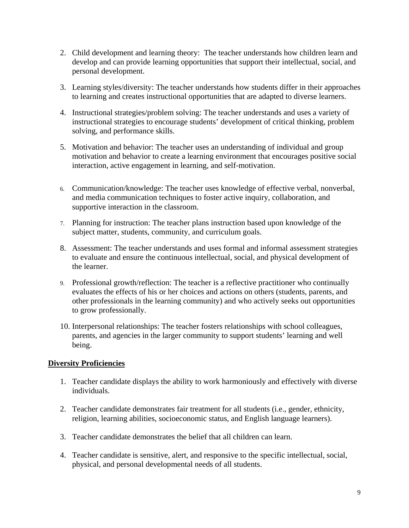- 2. Child development and learning theory: The teacher understands how children learn and develop and can provide learning opportunities that support their intellectual, social, and personal development.
- 3. Learning styles/diversity: The teacher understands how students differ in their approaches to learning and creates instructional opportunities that are adapted to diverse learners.
- 4. Instructional strategies/problem solving: The teacher understands and uses a variety of instructional strategies to encourage students' development of critical thinking, problem solving, and performance skills.
- 5. Motivation and behavior: The teacher uses an understanding of individual and group motivation and behavior to create a learning environment that encourages positive social interaction, active engagement in learning, and self-motivation.
- 6. Communication/knowledge: The teacher uses knowledge of effective verbal, nonverbal, and media communication techniques to foster active inquiry, collaboration, and supportive interaction in the classroom.
- 7. Planning for instruction: The teacher plans instruction based upon knowledge of the subject matter, students, community, and curriculum goals.
- 8. Assessment: The teacher understands and uses formal and informal assessment strategies to evaluate and ensure the continuous intellectual, social, and physical development of the learner.
- 9. Professional growth/reflection: The teacher is a reflective practitioner who continually evaluates the effects of his or her choices and actions on others (students, parents, and other professionals in the learning community) and who actively seeks out opportunities to grow professionally.
- 10. Interpersonal relationships: The teacher fosters relationships with school colleagues, parents, and agencies in the larger community to support students' learning and well being.

#### **Diversity Proficiencies**

- 1. Teacher candidate displays the ability to work harmoniously and effectively with diverse individuals.
- 2. Teacher candidate demonstrates fair treatment for all students (i.e., gender, ethnicity, religion, learning abilities, socioeconomic status, and English language learners).
- 3. Teacher candidate demonstrates the belief that all children can learn.
- 4. Teacher candidate is sensitive, alert, and responsive to the specific intellectual, social, physical, and personal developmental needs of all students.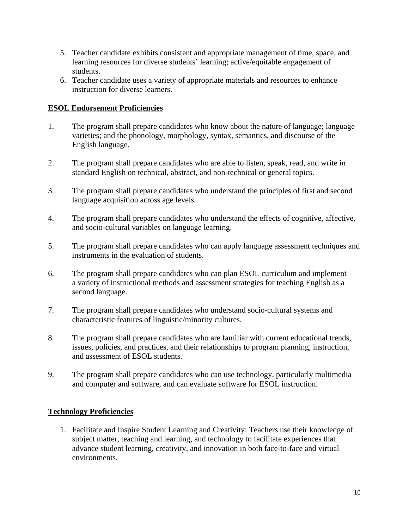- 5. Teacher candidate exhibits consistent and appropriate management of time, space, and learning resources for diverse students' learning; active/equitable engagement of students.
- 6. Teacher candidate uses a variety of appropriate materials and resources to enhance instruction for diverse learners.

#### **ESOL Endorsement Proficiencies**

- 1. The program shall prepare candidates who know about the nature of language; language varieties; and the phonology, morphology, syntax, semantics, and discourse of the English language.
- 2. The program shall prepare candidates who are able to listen, speak, read, and write in standard English on technical, abstract, and non-technical or general topics.
- 3. The program shall prepare candidates who understand the principles of first and second language acquisition across age levels.
- 4. The program shall prepare candidates who understand the effects of cognitive, affective, and socio-cultural variables on language learning.
- 5. The program shall prepare candidates who can apply language assessment techniques and instruments in the evaluation of students.
- 6. The program shall prepare candidates who can plan ESOL curriculum and implement a variety of instructional methods and assessment strategies for teaching English as a second language.
- 7. The program shall prepare candidates who understand socio-cultural systems and characteristic features of linguistic/minority cultures.
- 8. The program shall prepare candidates who are familiar with current educational trends, issues, policies, and practices, and their relationships to program planning, instruction, and assessment of ESOL students.
- 9. The program shall prepare candidates who can use technology, particularly multimedia and computer and software, and can evaluate software for ESOL instruction.

### **Technology Proficiencies**

1. Facilitate and Inspire Student Learning and Creativity: Teachers use their knowledge of subject matter, teaching and learning, and technology to facilitate experiences that advance student learning, creativity, and innovation in both face-to-face and virtual environments.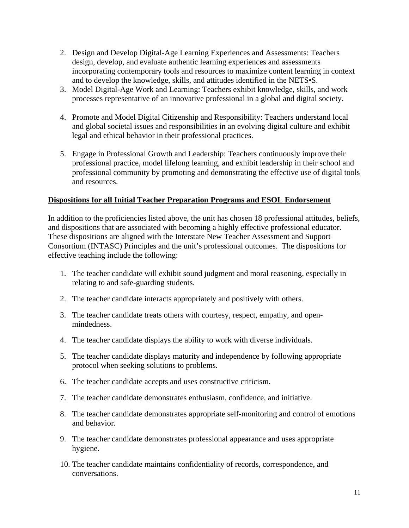- 2. Design and Develop Digital-Age Learning Experiences and Assessments: Teachers design, develop, and evaluate authentic learning experiences and assessments incorporating contemporary tools and resources to maximize content learning in context and to develop the knowledge, skills, and attitudes identified in the NETS•S.
- 3. Model Digital-Age Work and Learning: Teachers exhibit knowledge, skills, and work processes representative of an innovative professional in a global and digital society.
- 4. Promote and Model Digital Citizenship and Responsibility: Teachers understand local and global societal issues and responsibilities in an evolving digital culture and exhibit legal and ethical behavior in their professional practices.
- 5. Engage in Professional Growth and Leadership: Teachers continuously improve their professional practice, model lifelong learning, and exhibit leadership in their school and professional community by promoting and demonstrating the effective use of digital tools and resources.

#### **Dispositions for all Initial Teacher Preparation Programs and ESOL Endorsement**

In addition to the proficiencies listed above, the unit has chosen 18 professional attitudes, beliefs, and dispositions that are associated with becoming a highly effective professional educator. These dispositions are aligned with the Interstate New Teacher Assessment and Support Consortium (INTASC) Principles and the unit's professional outcomes. The dispositions for effective teaching include the following:

- 1. The teacher candidate will exhibit sound judgment and moral reasoning, especially in relating to and safe-guarding students.
- 2. The teacher candidate interacts appropriately and positively with others.
- 3. The teacher candidate treats others with courtesy, respect, empathy, and openmindedness.
- 4. The teacher candidate displays the ability to work with diverse individuals.
- 5. The teacher candidate displays maturity and independence by following appropriate protocol when seeking solutions to problems.
- 6. The teacher candidate accepts and uses constructive criticism.
- 7. The teacher candidate demonstrates enthusiasm, confidence, and initiative.
- 8. The teacher candidate demonstrates appropriate self-monitoring and control of emotions and behavior.
- 9. The teacher candidate demonstrates professional appearance and uses appropriate hygiene.
- 10. The teacher candidate maintains confidentiality of records, correspondence, and conversations.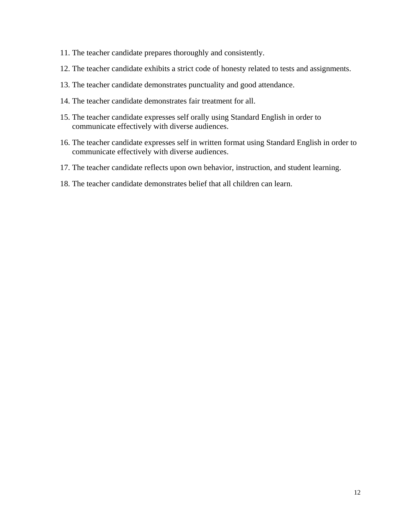- 11. The teacher candidate prepares thoroughly and consistently.
- 12. The teacher candidate exhibits a strict code of honesty related to tests and assignments.
- 13. The teacher candidate demonstrates punctuality and good attendance.
- 14. The teacher candidate demonstrates fair treatment for all.
- 15. The teacher candidate expresses self orally using Standard English in order to communicate effectively with diverse audiences.
- 16. The teacher candidate expresses self in written format using Standard English in order to communicate effectively with diverse audiences.
- 17. The teacher candidate reflects upon own behavior, instruction, and student learning.
- 18. The teacher candidate demonstrates belief that all children can learn.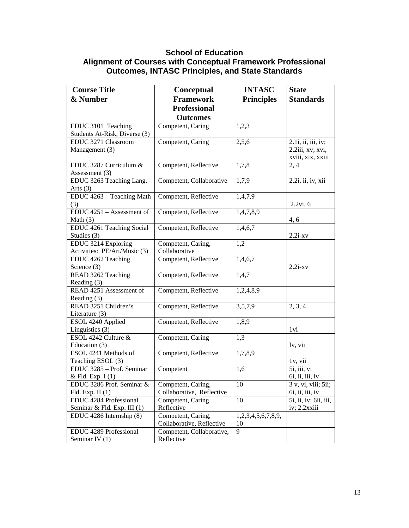### **School of Education Alignment of Courses with Conceptual Framework Professional Outcomes, INTASC Principles, and State Standards**

| <b>Course Title</b>                            | Conceptual                | <b>INTASC</b>      | <b>State</b>                                        |
|------------------------------------------------|---------------------------|--------------------|-----------------------------------------------------|
| & Number                                       | <b>Framework</b>          | <b>Principles</b>  | <b>Standards</b>                                    |
|                                                | <b>Professional</b>       |                    |                                                     |
|                                                | <b>Outcomes</b>           |                    |                                                     |
| EDUC 3101 Teaching                             | Competent, Caring         | 1,2,3              |                                                     |
| Students At-Risk, Diverse (3)                  |                           |                    |                                                     |
| EDUC 3271 Classroom                            | Competent, Caring         | 2,5,6              | 2.1 <i>i</i> , <i>ii</i> , <i>iii</i> , <i>iv</i> ; |
| Management (3)                                 |                           |                    | 2.2iii, xv, xvi,                                    |
|                                                |                           |                    | xviii, xix, xxiii                                   |
| EDUC 3287 Curriculum &                         | Competent, Reflective     | 1,7,8              | 2, 4                                                |
| Assessment (3)                                 |                           |                    |                                                     |
| EDUC 3263 Teaching Lang.                       | Competent, Collaborative  | 1,7,9              | 2.2i, ii, iv, xii                                   |
| Arts $(3)$                                     |                           |                    |                                                     |
| EDUC 4263 - Teaching Math                      | Competent, Reflective     | 1,4,7,9            |                                                     |
| (3)                                            |                           |                    | 2.2vi, 6                                            |
| EDUC 4251 - Assessment of                      | Competent, Reflective     | 1,4,7,8,9          |                                                     |
| Math $(3)$                                     |                           |                    | 4, 6                                                |
| EDUC 4261 Teaching Social<br>Studies (3)       | Competent, Reflective     | 1,4,6,7            | $2.2i$ -xv                                          |
| <b>EDUC 3214 Exploring</b>                     | Competent, Caring,        | 1,2                |                                                     |
| Activities: PE/Art/Music (3)                   | Collaborative             |                    |                                                     |
| EDUC 4262 Teaching                             | Competent, Reflective     | 1,4,6,7            |                                                     |
| Science (3)                                    |                           |                    | $2.2i-xv$                                           |
| READ 3262 Teaching                             | Competent, Reflective     | 1,4,7              |                                                     |
| Reading (3)                                    |                           |                    |                                                     |
| READ 4251 Assessment of                        | Competent, Reflective     | 1,2,4,8,9          |                                                     |
| Reading (3)                                    |                           |                    |                                                     |
| READ 3251 Children's                           | Competent, Reflective     | 3,5,7,9            | 2, 3, 4                                             |
| Literature (3)                                 |                           |                    |                                                     |
| ESOL 4240 Applied                              | Competent, Reflective     | 1,8,9              |                                                     |
| Linguistics (3)                                |                           |                    | 1 vi                                                |
| ESOL 4242 Culture &                            | Competent, Caring         | 1,3                |                                                     |
| Education (3)                                  |                           |                    | Iv, vii                                             |
| ESOL 4241 Methods of                           | Competent, Reflective     | 1,7,8,9            |                                                     |
| Teaching ESOL (3)                              |                           |                    | 1v, vii                                             |
| EDUC 3285 - Prof. Seminar                      | Competent                 | 1,6                | 5i, iii, vi                                         |
| & Fld. Exp. I (1)<br>EDUC 3286 Prof. Seminar & | Competent, Caring,        | $\overline{10}$    | 6i, ii, iii, iv<br>3 v, vi, viii; 5ii;              |
| Fld. Exp. II $(1)$                             | Collaborative, Reflective |                    | $6i$ , ii, iii, iv                                  |
| EDUC 4284 Professional                         | Competent, Caring,        | 10                 | 5i, ii, iv; 6ii, iii,                               |
| Seminar & Fld. Exp. III (1)                    | Reflective                |                    | iv; 2.2xxiii                                        |
| EDUC 4286 Internship (8)                       | Competent, Caring,        | 1,2,3,4,5,6,7,8,9, |                                                     |
|                                                | Collaborative, Reflective | 10                 |                                                     |
| EDUC 4289 Professional                         | Competent, Collaborative, | 9                  |                                                     |
| Seminar IV $(1)$                               | Reflective                |                    |                                                     |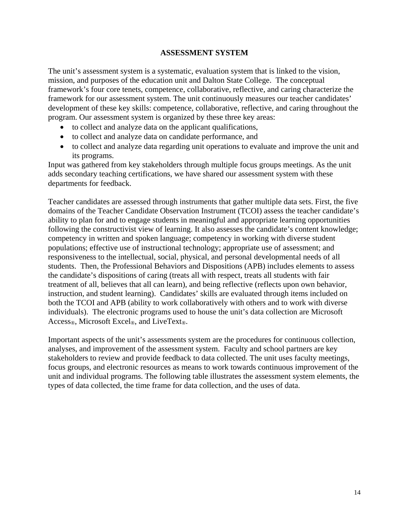#### **ASSESSMENT SYSTEM**

The unit's assessment system is a systematic, evaluation system that is linked to the vision, mission, and purposes of the education unit and Dalton State College. The conceptual framework's four core tenets, competence, collaborative, reflective, and caring characterize the framework for our assessment system. The unit continuously measures our teacher candidates' development of these key skills: competence, collaborative, reflective, and caring throughout the program. Our assessment system is organized by these three key areas:

- to collect and analyze data on the applicant qualifications,
- to collect and analyze data on candidate performance, and
- to collect and analyze data regarding unit operations to evaluate and improve the unit and its programs.

Input was gathered from key stakeholders through multiple focus groups meetings. As the unit adds secondary teaching certifications, we have shared our assessment system with these departments for feedback.

Teacher candidates are assessed through instruments that gather multiple data sets. First, the five domains of the Teacher Candidate Observation Instrument (TCOI) assess the teacher candidate's ability to plan for and to engage students in meaningful and appropriate learning opportunities following the constructivist view of learning. It also assesses the candidate's content knowledge; competency in written and spoken language; competency in working with diverse student populations; effective use of instructional technology; appropriate use of assessment; and responsiveness to the intellectual, social, physical, and personal developmental needs of all students. Then, the Professional Behaviors and Dispositions (APB) includes elements to assess the candidate's dispositions of caring (treats all with respect, treats all students with fair treatment of all, believes that all can learn), and being reflective (reflects upon own behavior, instruction, and student learning). Candidates' skills are evaluated through items included on both the TCOI and APB (ability to work collaboratively with others and to work with diverse individuals). The electronic programs used to house the unit's data collection are Microsoft Access<sub>®</sub>, Microsoft Excel<sub>®</sub>, and LiveText<sub>®</sub>.

Important aspects of the unit's assessments system are the procedures for continuous collection, analyses, and improvement of the assessment system. Faculty and school partners are key stakeholders to review and provide feedback to data collected. The unit uses faculty meetings, focus groups, and electronic resources as means to work towards continuous improvement of the unit and individual programs. The following table illustrates the assessment system elements, the types of data collected, the time frame for data collection, and the uses of data.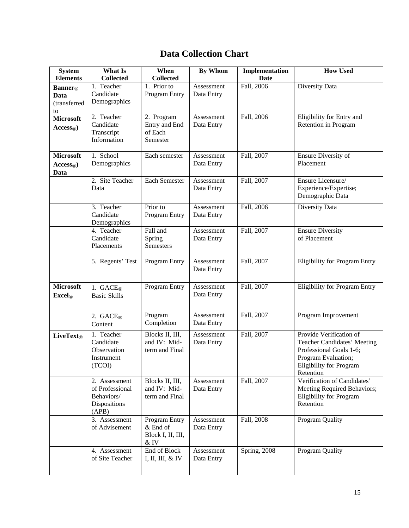## **Data Collection Chart**

| <b>System</b>                                      | <b>What Is</b>                                                          | When                                                          | <b>By Whom</b>           | Implementation | <b>How Used</b>                                                                                                                                         |
|----------------------------------------------------|-------------------------------------------------------------------------|---------------------------------------------------------------|--------------------------|----------------|---------------------------------------------------------------------------------------------------------------------------------------------------------|
| <b>Elements</b>                                    | <b>Collected</b>                                                        | <b>Collected</b>                                              |                          | <b>Date</b>    |                                                                                                                                                         |
| <b>Banner</b> ®<br>Data<br>(transferred<br>to      | 1. Teacher<br>Candidate<br>Demographics                                 | 1. Prior to<br>Program Entry                                  | Assessment<br>Data Entry | Fall, 2006     | Diversity Data                                                                                                                                          |
| <b>Microsoft</b><br>$\mathbf{Access}_{\mathbb{R}}$ | 2. Teacher<br>Candidate<br>Transcript<br>Information                    | 2. Program<br>Entry and End<br>of Each<br>Semester            | Assessment<br>Data Entry | Fall, 2006     | Eligibility for Entry and<br>Retention in Program                                                                                                       |
| <b>Microsoft</b>                                   | 1. School                                                               | Each semester                                                 | Assessment               | Fall, 2007     | Ensure Diversity of                                                                                                                                     |
| $\mathbf{Access}_{\mathbb{R}}$<br>Data             | Demographics                                                            |                                                               | Data Entry               |                | Placement                                                                                                                                               |
|                                                    | 2. Site Teacher<br>Data                                                 | Each Semester                                                 | Assessment<br>Data Entry | Fall, 2007     | Ensure Licensure/<br>Experience/Expertise;<br>Demographic Data                                                                                          |
|                                                    | 3. Teacher<br>Candidate<br>Demographics                                 | Prior to<br>Program Entry                                     | Assessment<br>Data Entry | Fall, 2006     | Diversity Data                                                                                                                                          |
|                                                    | 4. Teacher<br>Candidate<br>Placements                                   | Fall and<br>Spring<br>Semesters                               | Assessment<br>Data Entry | Fall, 2007     | <b>Ensure Diversity</b><br>of Placement                                                                                                                 |
|                                                    | 5. Regents' Test                                                        | Program Entry                                                 | Assessment<br>Data Entry | Fall, 2007     | <b>Eligibility for Program Entry</b>                                                                                                                    |
| <b>Microsoft</b><br>$\textbf{Excel}_\text{R}$      | 1. $GACE_{\mathbb{R}}$<br><b>Basic Skills</b>                           | Program Entry                                                 | Assessment<br>Data Entry | Fall, 2007     | <b>Eligibility for Program Entry</b>                                                                                                                    |
|                                                    | 2. $GACE®$<br>Content                                                   | Program<br>Completion                                         | Assessment<br>Data Entry | Fall, 2007     | Program Improvement                                                                                                                                     |
| LiveText®                                          | 1. Teacher<br>Candidate<br>Observation<br>Instrument<br>(TCOI)          | Blocks II, III,<br>and IV: Mid-<br>term and Final             | Assessment<br>Data Entry | Fall, 2007     | Provide Verification of<br>Teacher Candidates' Meeting<br>Professional Goals 1-6;<br>Program Evaluation;<br><b>Eligibility for Program</b><br>Retention |
|                                                    | 2. Assessment<br>of Professional<br>Behaviors/<br>Dispositions<br>(APB) | Blocks II, III,<br>and IV: Mid-<br>term and Final             | Assessment<br>Data Entry | Fall, 2007     | Verification of Candidates'<br>Meeting Required Behaviors;<br>Eligibility for Program<br>Retention                                                      |
|                                                    | 3. Assessment<br>of Advisement                                          | <b>Program Entry</b><br>& End of<br>Block I, II, III,<br>& IV | Assessment<br>Data Entry | Fall, 2008     | Program Quality                                                                                                                                         |
|                                                    | 4. Assessment<br>of Site Teacher                                        | End of Block<br>I, II, III, & IV                              | Assessment<br>Data Entry | Spring, 2008   | Program Quality                                                                                                                                         |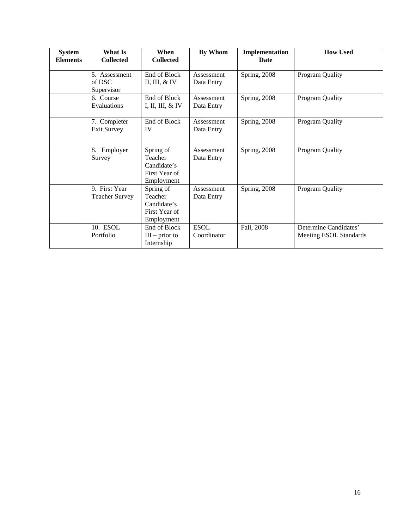| <b>System</b><br><b>Elements</b> | What Is<br><b>Collected</b>            | When<br><b>Collected</b>                                           | <b>By Whom</b>             | Implementation<br><b>Date</b> | <b>How Used</b>                                 |
|----------------------------------|----------------------------------------|--------------------------------------------------------------------|----------------------------|-------------------------------|-------------------------------------------------|
|                                  | 5. Assessment<br>of DSC<br>Supervisor  | End of Block<br>II, III, $&$ IV                                    | Assessment<br>Data Entry   | Spring, 2008                  | Program Quality                                 |
|                                  | 6. Course<br>Evaluations               | End of Block<br>I, II, III, & IV                                   | Assessment<br>Data Entry   | Spring, 2008                  | Program Quality                                 |
|                                  | 7. Completer<br><b>Exit Survey</b>     | End of Block<br>IV                                                 | Assessment<br>Data Entry   | Spring, 2008                  | Program Quality                                 |
|                                  | 8. Employer<br>Survey                  | Spring of<br>Teacher<br>Candidate's<br>First Year of<br>Employment | Assessment<br>Data Entry   | Spring, 2008                  | Program Quality                                 |
|                                  | 9. First Year<br><b>Teacher Survey</b> | Spring of<br>Teacher<br>Candidate's<br>First Year of<br>Employment | Assessment<br>Data Entry   | Spring, 2008                  | Program Quality                                 |
|                                  | 10. ESOL<br>Portfolio                  | End of Block<br>$III$ – prior to<br>Internship                     | <b>ESOL</b><br>Coordinator | Fall, 2008                    | Determine Candidates'<br>Meeting ESOL Standards |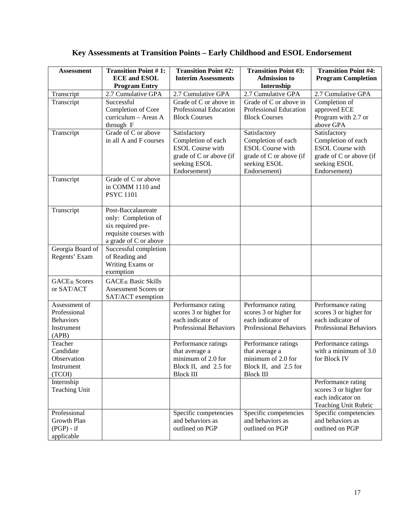| <b>Assessment</b>                                                        | <b>Transition Point #1:</b><br><b>ECE and ESOL</b><br><b>Program Entry</b>                                        | <b>Transition Point #2:</b><br><b>Interim Assessments</b>                                                                | <b>Transition Point #3:</b><br><b>Admission to</b><br>Internship                                                         | <b>Transition Point #4:</b><br><b>Program Completion</b>                                                                 |
|--------------------------------------------------------------------------|-------------------------------------------------------------------------------------------------------------------|--------------------------------------------------------------------------------------------------------------------------|--------------------------------------------------------------------------------------------------------------------------|--------------------------------------------------------------------------------------------------------------------------|
| Transcript                                                               | 2.7 Cumulative GPA                                                                                                | 2.7 Cumulative GPA                                                                                                       | 2.7 Cumulative GPA                                                                                                       | 2.7 Cumulative GPA                                                                                                       |
| Transcript                                                               | Successful<br>Completion of Core<br>curriculum - Areas A<br>through F                                             | Grade of C or above in<br>Professional Education<br><b>Block Courses</b>                                                 | Grade of C or above in<br>Professional Education<br><b>Block Courses</b>                                                 | Completion of<br>approved ECE<br>Program with 2.7 or<br>above GPA                                                        |
| Transcript                                                               | Grade of C or above<br>in all A and F courses                                                                     | Satisfactory<br>Completion of each<br><b>ESOL</b> Course with<br>grade of C or above (if<br>seeking ESOL<br>Endorsement) | Satisfactory<br>Completion of each<br><b>ESOL</b> Course with<br>grade of C or above (if<br>seeking ESOL<br>Endorsement) | Satisfactory<br>Completion of each<br><b>ESOL</b> Course with<br>grade of C or above (if<br>seeking ESOL<br>Endorsement) |
| Transcript                                                               | Grade of C or above<br>in COMM 1110 and<br><b>PSYC</b> 1101                                                       |                                                                                                                          |                                                                                                                          |                                                                                                                          |
| Transcript                                                               | Post-Baccalaureate<br>only: Completion of<br>six required pre-<br>requisite courses with<br>a grade of C or above |                                                                                                                          |                                                                                                                          |                                                                                                                          |
| Georgia Board of<br>Regents' Exam                                        | Successful completion<br>of Reading and<br>Writing Exams or<br>exemption                                          |                                                                                                                          |                                                                                                                          |                                                                                                                          |
| <b>GACE</b> ® Scores<br>or SAT/ACT                                       | <b>GACE</b> ® Basic Skills<br>Assessment Scores or<br>SAT/ACT exemption                                           |                                                                                                                          |                                                                                                                          |                                                                                                                          |
| Assessment of<br>Professional<br><b>Behaviors</b><br>Instrument<br>(APB) |                                                                                                                   | Performance rating<br>scores 3 or higher for<br>each indicator of<br>Professional Behaviors                              | Performance rating<br>scores 3 or higher for<br>each indicator of<br><b>Professional Behaviors</b>                       | Performance rating<br>scores 3 or higher for<br>each indicator of<br><b>Professional Behaviors</b>                       |
| Teacher<br>Candidate<br>Observation<br>Instrument<br>(TCOI)              |                                                                                                                   | Performance ratings<br>that average a<br>minimum of 2.0 for<br>Block II, and 2.5 for<br><b>Block III</b>                 | Performance ratings<br>that average a<br>minimum of 2.0 for<br>Block II, and 2.5 for<br><b>Block III</b>                 | Performance ratings<br>with a minimum of 3.0<br>for Block IV                                                             |
| Internship<br>Teaching Unit                                              |                                                                                                                   |                                                                                                                          |                                                                                                                          | Performance rating<br>scores 3 or higher for<br>each indicator on<br>Teaching Unit Rubric                                |
| Professional<br>Growth Plan<br>$(PGP) - if$<br>applicable                |                                                                                                                   | Specific competencies<br>and behaviors as<br>outlined on PGP                                                             | Specific competencies<br>and behaviors as<br>outlined on PGP                                                             | Specific competencies<br>and behaviors as<br>outlined on PGP                                                             |

# **Key Assessments at Transition Points – Early Childhood and ESOL Endorsement**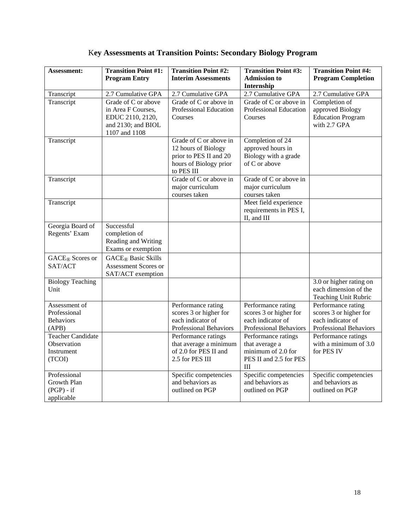|  |  |  |  |  | <b>Key Assessments at Transition Points: Secondary Biology Program</b> |
|--|--|--|--|--|------------------------------------------------------------------------|
|--|--|--|--|--|------------------------------------------------------------------------|

| Assessment:                                                     | <b>Transition Point #1:</b><br><b>Program Entry</b>                                                  | <b>Transition Point #2:</b><br><b>Interim Assessments</b>                                                       | <b>Transition Point #3:</b><br><b>Admission to</b><br>Internship                            | <b>Transition Point #4:</b><br><b>Program Completion</b>                                    |
|-----------------------------------------------------------------|------------------------------------------------------------------------------------------------------|-----------------------------------------------------------------------------------------------------------------|---------------------------------------------------------------------------------------------|---------------------------------------------------------------------------------------------|
| Transcript                                                      | 2.7 Cumulative GPA                                                                                   | 2.7 Cumulative GPA                                                                                              | 2.7 Cumulative GPA                                                                          | 2.7 Cumulative GPA                                                                          |
| Transcript                                                      | Grade of C or above<br>in Area F Courses,<br>EDUC 2110, 2120,<br>and 2130; and BIOL<br>1107 and 1108 | Grade of C or above in<br>Professional Education<br>Courses                                                     | Grade of C or above in<br>Professional Education<br>Courses                                 | Completion of<br>approved Biology<br><b>Education Program</b><br>with 2.7 GPA               |
| Transcript                                                      |                                                                                                      | Grade of C or above in<br>12 hours of Biology<br>prior to PES II and 20<br>hours of Biology prior<br>to PES III | Completion of 24<br>approved hours in<br>Biology with a grade<br>of C or above              |                                                                                             |
| Transcript                                                      |                                                                                                      | Grade of C or above in<br>major curriculum<br>courses taken                                                     | Grade of C or above in<br>major curriculum<br>courses taken                                 |                                                                                             |
| Transcript                                                      |                                                                                                      |                                                                                                                 | Meet field experience<br>requirements in PES I,<br>II, and III                              |                                                                                             |
| Georgia Board of<br>Regents' Exam                               | Successful<br>completion of<br>Reading and Writing<br>Exams or exemption                             |                                                                                                                 |                                                                                             |                                                                                             |
| <b>GACE</b> ® Scores or<br>SAT/ACT                              | <b>GACE</b> ® Basic Skills<br>Assessment Scores or<br>SAT/ACT exemption                              |                                                                                                                 |                                                                                             |                                                                                             |
| <b>Biology Teaching</b><br>Unit                                 |                                                                                                      |                                                                                                                 |                                                                                             | 3.0 or higher rating on<br>each dimension of the<br>Teaching Unit Rubric                    |
| Assessment of<br>Professional<br><b>Behaviors</b><br>(APB)      |                                                                                                      | Performance rating<br>scores 3 or higher for<br>each indicator of<br>Professional Behaviors                     | Performance rating<br>scores 3 or higher for<br>each indicator of<br>Professional Behaviors | Performance rating<br>scores 3 or higher for<br>each indicator of<br>Professional Behaviors |
| <b>Teacher Candidate</b><br>Observation<br>Instrument<br>(TCOI) |                                                                                                      | Performance ratings<br>that average a minimum<br>of 2.0 for PES II and<br>2.5 for PES III                       | Performance ratings<br>that average a<br>minimum of 2.0 for<br>PES II and 2.5 for PES<br>Ш  | Performance ratings<br>with a minimum of 3.0<br>for PES IV                                  |
| Professional<br>Growth Plan<br>$(PGP) - if$<br>applicable       |                                                                                                      | Specific competencies<br>and behaviors as<br>outlined on PGP                                                    | Specific competencies<br>and behaviors as<br>outlined on PGP                                | Specific competencies<br>and behaviors as<br>outlined on PGP                                |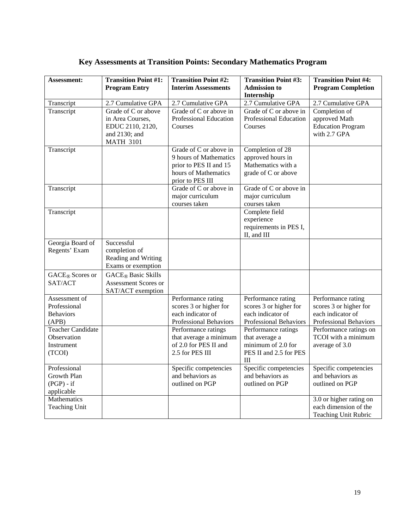### **Key Assessments at Transition Points: Secondary Mathematics Program**

| <b>Assessment:</b>                                              | <b>Transition Point #1:</b><br><b>Program Entry</b>                                              | <b>Transition Point #2:</b><br><b>Interim Assessments</b>                                                              | <b>Transition Point #3:</b><br><b>Admission to</b><br>Internship                                   | <b>Transition Point #4:</b><br><b>Program Completion</b>                                    |
|-----------------------------------------------------------------|--------------------------------------------------------------------------------------------------|------------------------------------------------------------------------------------------------------------------------|----------------------------------------------------------------------------------------------------|---------------------------------------------------------------------------------------------|
| Transcript                                                      | 2.7 Cumulative GPA                                                                               | 2.7 Cumulative GPA                                                                                                     | 2.7 Cumulative GPA                                                                                 | 2.7 Cumulative GPA                                                                          |
| Transcript                                                      | Grade of C or above<br>in Area Courses,<br>EDUC 2110, 2120,<br>and 2130; and<br><b>MATH 3101</b> | Grade of C or above in<br><b>Professional Education</b><br>Courses                                                     | Grade of C or above in<br><b>Professional Education</b><br>Courses                                 | Completion of<br>approved Math<br><b>Education Program</b><br>with 2.7 GPA                  |
| Transcript                                                      |                                                                                                  | Grade of C or above in<br>9 hours of Mathematics<br>prior to PES II and 15<br>hours of Mathematics<br>prior to PES III | Completion of 28<br>approved hours in<br>Mathematics with a<br>grade of C or above                 |                                                                                             |
| Transcript                                                      |                                                                                                  | Grade of C or above in<br>major curriculum<br>courses taken                                                            | Grade of C or above in<br>major curriculum<br>courses taken                                        |                                                                                             |
| Transcript                                                      |                                                                                                  |                                                                                                                        | Complete field<br>experience<br>requirements in PES I,<br>II, and III                              |                                                                                             |
| Georgia Board of<br>Regents' Exam                               | Successful<br>completion of<br>Reading and Writing<br>Exams or exemption                         |                                                                                                                        |                                                                                                    |                                                                                             |
| <b>GACE</b> ® Scores or<br>SAT/ACT                              | <b>GACE</b> ® Basic Skills<br>Assessment Scores or<br>SAT/ACT exemption                          |                                                                                                                        |                                                                                                    |                                                                                             |
| Assessment of<br>Professional<br><b>Behaviors</b><br>(APB)      |                                                                                                  | Performance rating<br>scores 3 or higher for<br>each indicator of<br><b>Professional Behaviors</b>                     | Performance rating<br>scores 3 or higher for<br>each indicator of<br><b>Professional Behaviors</b> | Performance rating<br>scores 3 or higher for<br>each indicator of<br>Professional Behaviors |
| <b>Teacher Candidate</b><br>Observation<br>Instrument<br>(TCOI) |                                                                                                  | Performance ratings<br>that average a minimum<br>of 2.0 for PES II and<br>2.5 for PES III                              | Performance ratings<br>that average a<br>minimum of 2.0 for<br>PES II and 2.5 for PES<br>Ш         | Performance ratings on<br>TCOI with a minimum<br>average of 3.0                             |
| Professional<br>Growth Plan<br>$(PGP) - if$<br>applicable       |                                                                                                  | Specific competencies<br>and behaviors as<br>outlined on PGP                                                           | Specific competencies<br>and behaviors as<br>outlined on PGP                                       | Specific competencies<br>and behaviors as<br>outlined on PGP                                |
| Mathematics<br><b>Teaching Unit</b>                             |                                                                                                  |                                                                                                                        |                                                                                                    | 3.0 or higher rating on<br>each dimension of the<br><b>Teaching Unit Rubric</b>             |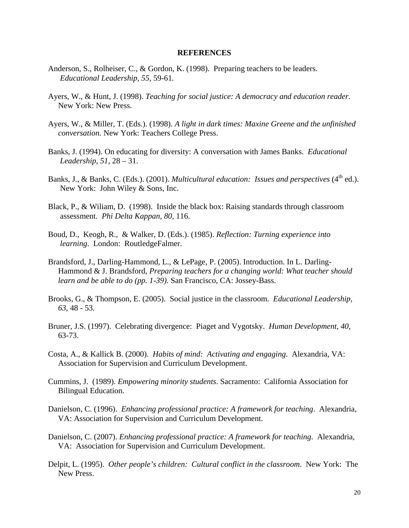#### **REFERENCES**

- Anderson, S., Rolheiser, C., & Gordon, K. (1998). Preparing teachers to be leaders. *Educational Leadership, 55,* 59-61*.*
- Ayers, W., & Hunt, J. (1998). *Teaching for social justice: A democracy and education reader*. New York: New Press.
- Ayers, W., & Miller, T. (Eds.). (1998). *A light in dark times: Maxine Greene and the unfinished conversation.* New York: Teachers College Press.
- Banks, J. (1994). On educating for diversity: A conversation with James Banks. *Educational Leadership, 51*, 28 – 31.
- Banks, J., & Banks, C. (Eds.). (2001). *Multicultural education: Issues and perspectives* (4<sup>th</sup> ed.). New York: John Wiley & Sons, Inc.
- Black, P., & Wiliam, D. (1998). Inside the black box: Raising standards through classroom assessment. *Phi Delta Kappan, 80,* 116.
- Boud, D., Keogh, R., & Walker, D. (Eds.). (1985). *Reflection: Turning experience into learning*. London: RoutledgeFalmer.
- Brandsford, J., Darling-Hammond, L., & LePage, P. (2005). Introduction. In L. Darling- Hammond & J. Brandsford, *Preparing teachers for a changing world: What teacher should learn and be able to do (pp. 1-39).* San Francisco, CA: Jossey-Bass.
- Brooks, G., & Thompson, E. (2005). Social justice in the classroom. *Educational Leadership, 63,* 48 - 53*.*
- Bruner, J.S. (1997). Celebrating divergence: Piaget and Vygotsky. *Human Development*, *40*, 63-73.
- Costa, A., & Kallick B. (2000). *Habits of mind: Activating and engaging*. Alexandria, VA: Association for Supervision and Curriculum Development.
- Cummins, J. (1989). *Empowering minority students*. Sacramento: California Association for Bilingual Education.
- Danielson, C. (1996). *Enhancing professional practice: A framework for teaching*. Alexandria, VA: Association for Supervision and Curriculum Development.
- Danielson, C. (2007). *Enhancing professional practice: A framework for teaching*. Alexandria, VA: Association for Supervision and Curriculum Development.
- Delpit, L. (1995). *Other people's children: Cultural conflict in the classroom*. New York: The New Press.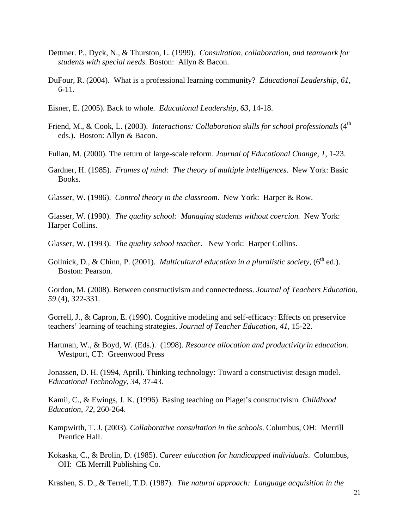- Dettmer. P., Dyck, N., & Thurston, L. (1999). *Consultation, collaboration, and teamwork for students with special needs*. Boston: Allyn & Bacon.
- DuFour, R. (2004). What is a professional learning community? *Educational Leadership, 61,*  6-11.
- Eisner, E. (2005). Back to whole. *Educational Leadership, 63*, 14-18.
- Friend, M., & Cook, L. (2003). *Interactions: Collaboration skills for school professionals* (4<sup>th</sup>) eds.). Boston: Allyn & Bacon.

Fullan, M. (2000). The return of large-scale reform. *Journal of Educational Change, 1*, 1-23.

Gardner, H. (1985). *Frames of mind: The theory of multiple intelligences*. New York: Basic Books.

Glasser, W. (1986). *Control theory in the classroom*. New York: Harper & Row.

Glasser, W. (1990). *The quality school: Managing students without coercion*. New York: Harper Collins.

Glasser, W. (1993). *The quality school teacher*. New York: Harper Collins.

Gollnick, D., & Chinn, P. (2001). *Multicultural education in a pluralistic society*,  $(6^{th}$  ed.). Boston: Pearson.

Gordon, M. (2008). Between constructivism and connectedness. *Journal of Teachers Education, 59* (4), 322-331.

Gorrell, J., & Capron, E. (1990). Cognitive modeling and self-efficacy: Effects on preservice teachers' learning of teaching strategies. *Journal of Teacher Education*, *41,* 15-22.

Hartman, W., & Boyd, W. (Eds.). (1998). *Resource allocation and productivity in education.*  Westport, CT: Greenwood Press

Jonassen, D. H. (1994, April). Thinking technology: Toward a constructivist design model. *Educational Technology, 34,* 37-43.

Kamii, C., & Ewings, J. K. (1996). Basing teaching on Piaget's constructvism*. Childhood Education, 72,* 260-264.

- Kampwirth, T. J. (2003). *Collaborative consultation in the schools*. Columbus, OH: Merrill Prentice Hall.
- Kokaska, C., & Brolin, D. (1985). *Career education for handicapped individuals*. Columbus, OH: CE Merrill Publishing Co.

Krashen, S. D., & Terrell, T.D. (1987). *The natural approach: Language acquisition in the*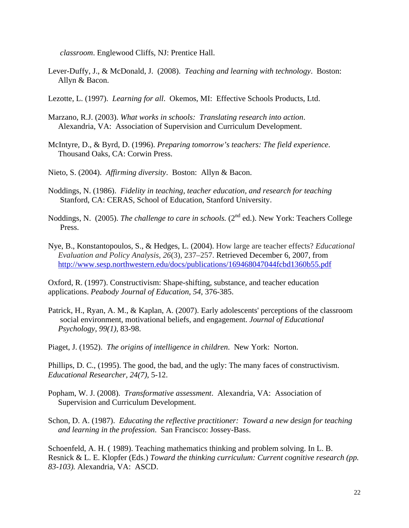*classroom*. Englewood Cliffs, NJ: Prentice Hall.

- Lever-Duffy, J., & McDonald, J. (2008). *Teaching and learning with technology*. Boston: Allyn & Bacon.
- Lezotte, L. (1997). *Learning for all*. Okemos, MI: Effective Schools Products, Ltd.
- Marzano, R.J. (2003). *What works in schools: Translating research into action*. Alexandria, VA: Association of Supervision and Curriculum Development.
- McIntyre, D., & Byrd, D. (1996). *Preparing tomorrow's teachers: The field experience*. Thousand Oaks, CA: Corwin Press.
- Nieto, S. (2004). *Affirming diversity*. Boston: Allyn & Bacon.
- Noddings, N. (1986). *Fidelity in teaching, teacher education, and research for teaching* Stanford, CA: CERAS, School of Education, Stanford University.
- Noddings, N. (2005). *The challenge to care in schools.* (2<sup>nd</sup> ed.). New York: Teachers College Press.
- Nye, B., Konstantopoulos, S., & Hedges, L. (2004). How large are teacher effects? *Educational Evaluation and Policy Analysis, 26*(3), 237–257. Retrieved December 6, 2007, from http://www.sesp.northwestern.edu/docs/publications/169468047044fcbd1360b55.pdf

Oxford, R. (1997). Constructivism: Shape-shifting, substance, and teacher education applications. *Peabody Journal of Education, 54*, 376-385.

Patrick, H., Ryan, A. M., & Kaplan, A. (2007). Early adolescents' perceptions of the classroom social environment, motivational beliefs, and engagement. *Journal of Educational Psychology*, *99(1),* 83-98.

Piaget, J. (1952). *The origins of intelligence in children*. New York: Norton.

Phillips, D. C., (1995). The good, the bad, and the ugly: The many faces of constructivism. *Educational Researcher, 24(7),* 5-12.

- Popham, W. J. (2008). *Transformative assessment*. Alexandria, VA: Association of Supervision and Curriculum Development.
- Schon, D. A. (1987). *Educating the reflective practitioner: Toward a new design for teaching and learning in the profession*. San Francisco: Jossey-Bass.

Schoenfeld, A. H. ( 1989). Teaching mathematics thinking and problem solving. In L. B. Resnick & L. E. Klopfer (Eds.) *Toward the thinking curriculum: Current cognitive research (pp. 83-103).* Alexandria, VA: ASCD.